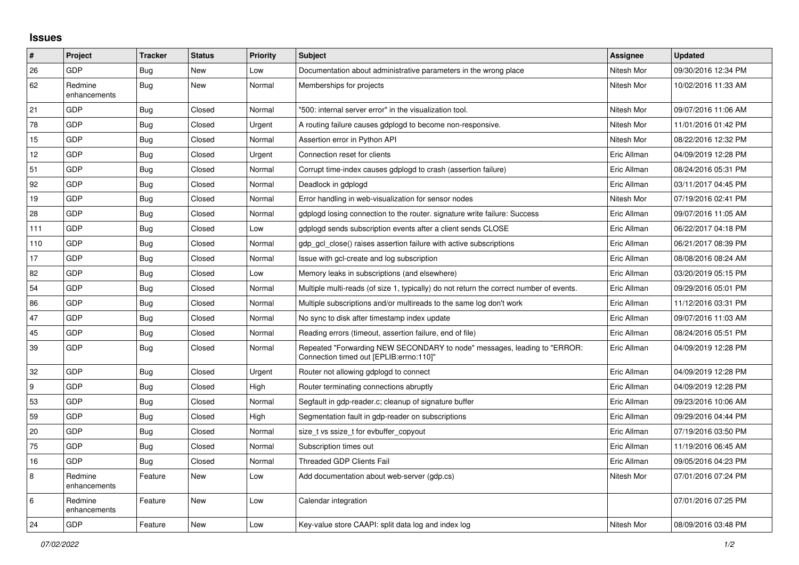## **Issues**

| #   | Project                 | <b>Tracker</b> | <b>Status</b> | <b>Priority</b> | <b>Subject</b>                                                                                                      | <b>Assignee</b> | <b>Updated</b>      |
|-----|-------------------------|----------------|---------------|-----------------|---------------------------------------------------------------------------------------------------------------------|-----------------|---------------------|
| 26  | <b>GDP</b>              | <b>Bug</b>     | New           | Low             | Documentation about administrative parameters in the wrong place                                                    | Nitesh Mor      | 09/30/2016 12:34 PM |
| 62  | Redmine<br>enhancements | <b>Bug</b>     | <b>New</b>    | Normal          | Memberships for projects                                                                                            | Nitesh Mor      | 10/02/2016 11:33 AM |
| 21  | GDP                     | <b>Bug</b>     | Closed        | Normal          | "500: internal server error" in the visualization tool.                                                             | Nitesh Mor      | 09/07/2016 11:06 AM |
| 78  | <b>GDP</b>              | <b>Bug</b>     | Closed        | Urgent          | A routing failure causes gdplogd to become non-responsive.                                                          | Nitesh Mor      | 11/01/2016 01:42 PM |
| 15  | <b>GDP</b>              | <b>Bug</b>     | Closed        | Normal          | Assertion error in Python API                                                                                       | Nitesh Mor      | 08/22/2016 12:32 PM |
| 12  | <b>GDP</b>              | <b>Bug</b>     | Closed        | Urgent          | Connection reset for clients                                                                                        | Eric Allman     | 04/09/2019 12:28 PM |
| 51  | <b>GDP</b>              | <b>Bug</b>     | Closed        | Normal          | Corrupt time-index causes gdplogd to crash (assertion failure)                                                      | Eric Allman     | 08/24/2016 05:31 PM |
| 92  | <b>GDP</b>              | <b>Bug</b>     | Closed        | Normal          | Deadlock in gdplogd                                                                                                 | Eric Allman     | 03/11/2017 04:45 PM |
| 19  | <b>GDP</b>              | <b>Bug</b>     | Closed        | Normal          | Error handling in web-visualization for sensor nodes                                                                | Nitesh Mor      | 07/19/2016 02:41 PM |
| 28  | GDP                     | <b>Bug</b>     | Closed        | Normal          | gdplogd losing connection to the router, signature write failure: Success                                           | Eric Allman     | 09/07/2016 11:05 AM |
| 111 | <b>GDP</b>              | <b>Bug</b>     | Closed        | Low             | gdplogd sends subscription events after a client sends CLOSE                                                        | Eric Allman     | 06/22/2017 04:18 PM |
| 110 | <b>GDP</b>              | <b>Bug</b>     | Closed        | Normal          | gdp gcl close() raises assertion failure with active subscriptions                                                  | Eric Allman     | 06/21/2017 08:39 PM |
| 17  | GDP                     | <b>Bug</b>     | Closed        | Normal          | Issue with gcl-create and log subscription                                                                          | Eric Allman     | 08/08/2016 08:24 AM |
| 82  | GDP                     | <b>Bug</b>     | Closed        | Low             | Memory leaks in subscriptions (and elsewhere)                                                                       | Eric Allman     | 03/20/2019 05:15 PM |
| 54  | <b>GDP</b>              | <b>Bug</b>     | Closed        | Normal          | Multiple multi-reads (of size 1, typically) do not return the correct number of events.                             | Eric Allman     | 09/29/2016 05:01 PM |
| 86  | <b>GDP</b>              | <b>Bug</b>     | Closed        | Normal          | Multiple subscriptions and/or multireads to the same log don't work                                                 | Eric Allman     | 11/12/2016 03:31 PM |
| 47  | <b>GDP</b>              | Bug            | Closed        | Normal          | No sync to disk after timestamp index update                                                                        | Eric Allman     | 09/07/2016 11:03 AM |
| 45  | <b>GDP</b>              | <b>Bug</b>     | Closed        | Normal          | Reading errors (timeout, assertion failure, end of file)                                                            | Eric Allman     | 08/24/2016 05:51 PM |
| 39  | <b>GDP</b>              | <b>Bug</b>     | Closed        | Normal          | Repeated "Forwarding NEW SECONDARY to node" messages, leading to "ERROR:<br>Connection timed out [EPLIB:errno:110]" | Eric Allman     | 04/09/2019 12:28 PM |
| 32  | <b>GDP</b>              | <b>Bug</b>     | Closed        | Urgent          | Router not allowing gdplogd to connect                                                                              | Eric Allman     | 04/09/2019 12:28 PM |
| 9   | <b>GDP</b>              | <b>Bug</b>     | Closed        | High            | Router terminating connections abruptly                                                                             | Eric Allman     | 04/09/2019 12:28 PM |
| 53  | <b>GDP</b>              | <b>Bug</b>     | Closed        | Normal          | Segfault in gdp-reader.c; cleanup of signature buffer                                                               | Eric Allman     | 09/23/2016 10:06 AM |
| 59  | <b>GDP</b>              | <b>Bug</b>     | Closed        | High            | Segmentation fault in gdp-reader on subscriptions                                                                   | Eric Allman     | 09/29/2016 04:44 PM |
| 20  | <b>GDP</b>              | <b>Bug</b>     | Closed        | Normal          | size t vs ssize t for evbuffer copyout                                                                              | Eric Allman     | 07/19/2016 03:50 PM |
| 75  | GDP                     | <b>Bug</b>     | Closed        | Normal          | Subscription times out                                                                                              | Eric Allman     | 11/19/2016 06:45 AM |
| 16  | <b>GDP</b>              | <b>Bug</b>     | Closed        | Normal          | <b>Threaded GDP Clients Fail</b>                                                                                    | Eric Allman     | 09/05/2016 04:23 PM |
| 8   | Redmine<br>enhancements | Feature        | New           | Low             | Add documentation about web-server (gdp.cs)                                                                         | Nitesh Mor      | 07/01/2016 07:24 PM |
| 6   | Redmine<br>enhancements | Feature        | New           | Low             | Calendar integration                                                                                                |                 | 07/01/2016 07:25 PM |
| 24  | <b>GDP</b>              | Feature        | <b>New</b>    | Low             | Key-value store CAAPI: split data log and index log                                                                 | Nitesh Mor      | 08/09/2016 03:48 PM |